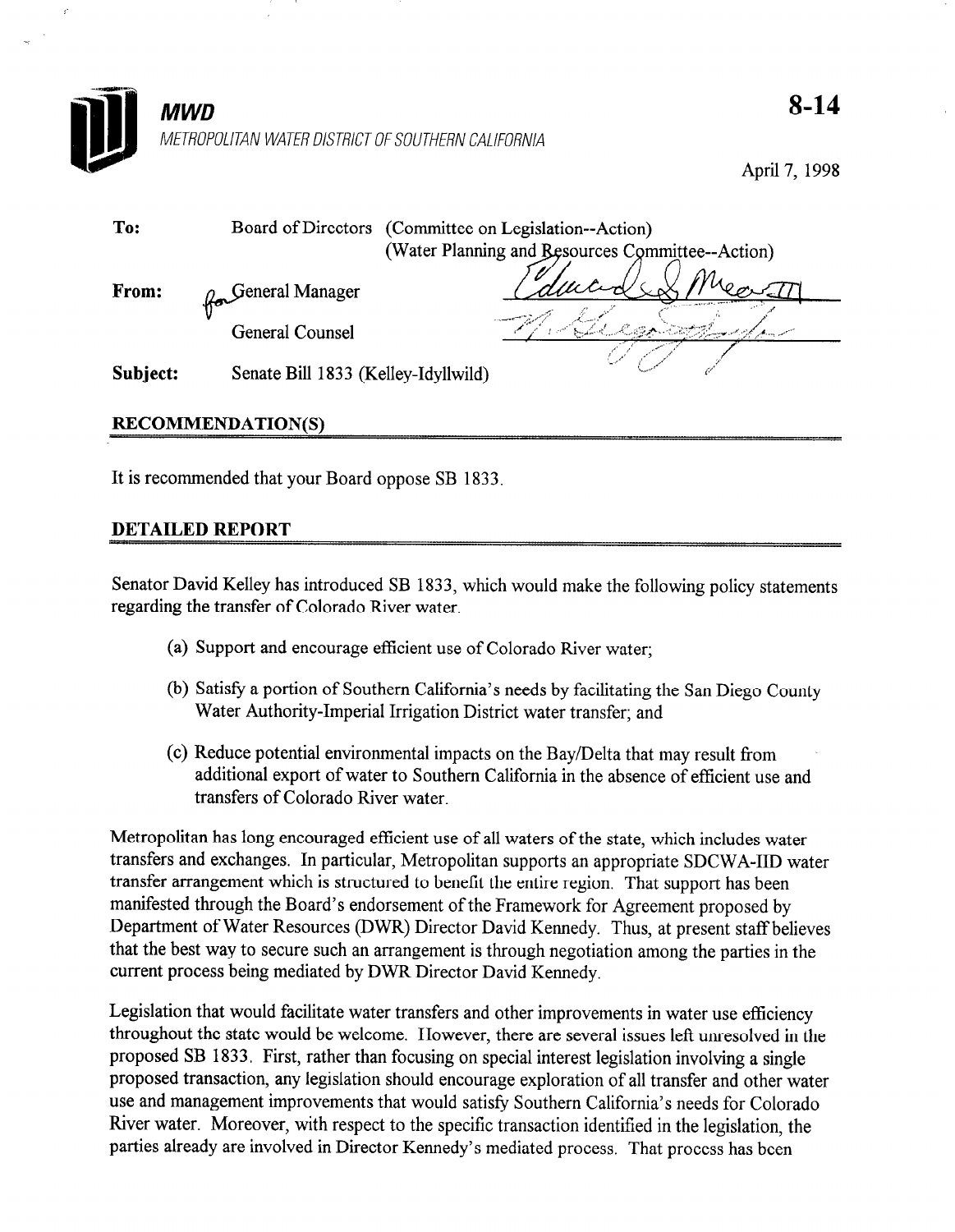

April 7, 1998

| To:      |                                     | Board of Directors (Committee on Legislation--Action)<br>(Water Planning and Besources Committee--Action) |  |
|----------|-------------------------------------|-----------------------------------------------------------------------------------------------------------|--|
| From:    | <b>General Manager</b>              |                                                                                                           |  |
|          | <b>General Counsel</b>              |                                                                                                           |  |
| Subject: | Senate Bill 1833 (Kelley-Idyllwild) |                                                                                                           |  |

# RECOMMENDATION(S)

It is recommended that your Board oppose SB 1833.

# DETAILED REPORT

Senator David Kelley has introduced SB 1833, which would make the following policy statements regarding the transfer of Colorado River water.

- (a) Support and encourage efficient use of Colorado River water;
- (b) Satisfy a portion of Southern California's needs by facilitating the San Diego County Water Authority-Imperial Irrigation District water transfer; and
- (c) Reduce potential environmental impacts on the Bay/Delta that may result from additional export of water to Southern California in the absence of efficient use and transfers of Colorado River water.

Metropolitan has long encouraged efficient use of all waters of the state, which includes water transfers and exchanges. In particular, Metropolitan supports an appropriate SDCWA-IID water transfer arrangement which is structured to benefit the entire region. That support has been manifested through the Board's endorsement of the Framework for Agreement proposed by Department of Water Resources (DWR) Director David Kennedy. Thus, at present staff believes that the best way to secure such an arrangement is through negotiation among the parties in the current process being mediated by DWR Director David Kennedy.

Legislation that would facilitate water transfers and other improvements in water use efficiency throughout the state would be welcome. However, there are several issues left unresolved in the proposed SB 1833, First, rather than focusing on special interest legislation involving a single proposed transaction, any legislation should encourage exploration of all transfer and other water use and management improvements that would satisfy Southern California's needs for Colorado River water. Moreover, with respect to the specific transaction identified in the legislation, the parties already are involved in Director Kennedy's mediated process. That process has been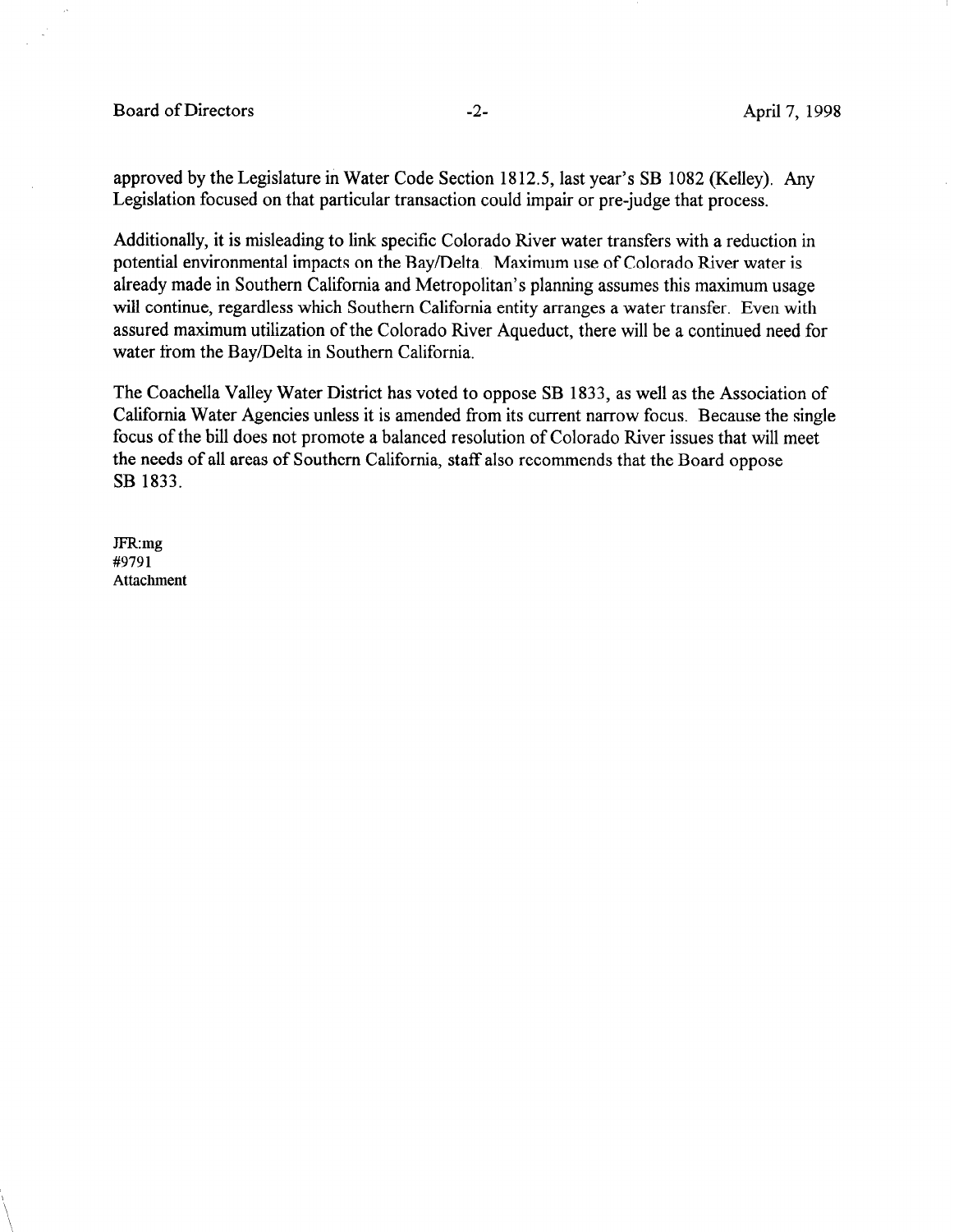Board of Directors -2- April 7, 1998

approved by the Legislature in Water Code Section 1812.5, last year's SB 1082 (Kelley). Any Legislation focused on that particular transaction could impair or pre-judge that process.

Additionally, it is misleading to link specific Colorado River water transfers with a reduction in potential environmental impacts on the Bay/Delta. Maximum use of Colorado River water is already made in Southern California and Metropolitan's planning assumes this maximum usage will continue, regardless which Southern California entity arranges a water transfer. Even with assured maximum utilization of the Colorado River Aqueduct, there will be a continued need for water from the Bay/Delta in Southern California.

The Coachella Valley Water District has voted to oppose SB 1833, as well as the Association of California Water Agencies unless it is amended from its current narrow focus. Because the single focus of the bill does not promote a balanced resolution of Colorado River issues that will meet the needs of all areas of Southern California, staff also recommends that the Board oppose SB 1833.

JFR:mg #9791 Attachment

 $\mathbf{r}$  $\sqrt{2}$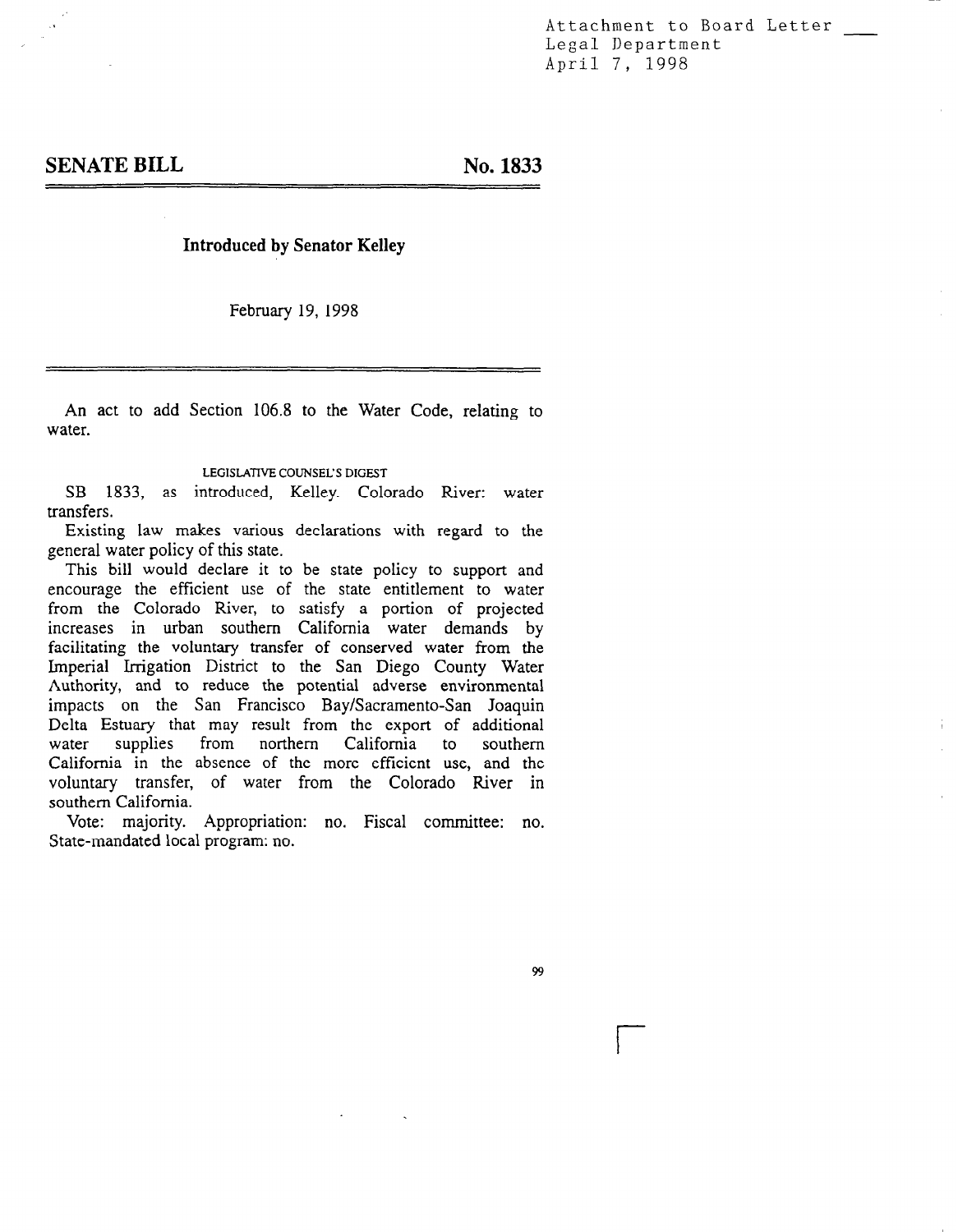Attachment to Board Letter Legal Department April 7, 1998

## Introduced by Senator Kelley

February 19, 1998

An act to add Section 106.8 to the Water Code, relating to water.

LEGISLATIVE COUNSEL'S DIGEST

SB 1833, as introduced, Kelley. Colorado River: water transfers.

Existing law makes various declarations with regard to the general water policy of this state.  $T_1$  is bill would policy of this state.

Fins on would declare it to be state policy to support and encourage the emolent use of the state emmement to water iform the Colorado River, to satisfy a portion of projected increases in urban southern California water demands by facilitating the voluntary transfer of conserved water from the Imperial Irrigation District to the San Diego County Water Authority, and to reduce the potential adverse environmental impacts on the San Francisco Bay/Sacramento-San Joaquin Delta Estuary that may result from the export of additional water supplies from northern California to southern from northern California to California in the absence of the more efficient use, and the voluntary transfer, of water from the Colorado River in southern California. vote: majority. Appropriation: no. Fiscal committee: no. Fiscal committee: no. Fiscal committee: no. Fiscal committee: no. Fiscal committee: no. Fiscal committee: no. Fiscal committee: no. Fiscal committee: no. Fiscal comm

Vote: majority. Appropriation

99

r